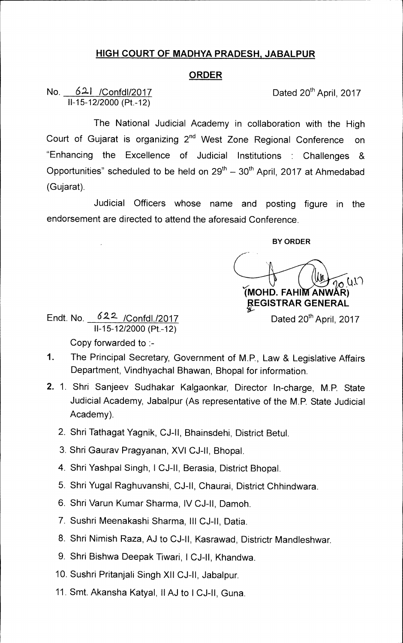## **HIGH COURT OF MADHYA PRADESH, JABALPUR**

## **ORDER**

No. 621 /Confd1/2017 Dated 20<sup>th</sup> April, 2017 11-15-12/2000 (Pt.-12)

The National Judicial Academy in collaboration with the High Court of Gujarat is organizing 2<sup>nd</sup> West Zone Regional Conference on "Enhancing the Excellence of Judicial Institutions : Challenges & Opportunities" scheduled to be held on  $29<sup>th</sup> - 30<sup>th</sup>$  April, 2017 at Ahmedabad (Gujarat).

Judicial Officers whose name and posting figure in the endorsement are directed to attend the aforesaid Conference.

**BY ORDER** 

 $\frac{1}{20}$  (1) **(MOHD. FAHIM ANWAR) 0 VGISTRAR GENERAL**  Dated 20<sup>th</sup> April, 2017

Endt. No. 622 / Confdl./2017 11-15-12/2000 (Pt.-12) Copy forwarded to :-

- 1. The Principal Secretary, Government of M.P., Law & Legislative Affairs Department, Vindhyachal Bhawan, Bhopal for information.
- 2. 1. Shri Sanjeev Sudhakar Kalgaonkar, Director 1n-charge, M.P. State Judicial Academy, Jabalpur (As representative of the M.P. State Judicial Academy).
	- 2. Shri Tathagat Yagnik, CJ-II, Bhainsdehi, District Betul.
	- 3. Shri Gaurav Pragyanan, XVI CJ-II, Bhopal.
	- 4. Shri Yashpal Singh, 1 CJ-II, Berasia, District Bhopal.
	- 5. Shri Yugal Raghuvanshi, CJ-II, Chaurai, District Chhindwara.
	- 6. Shri Varun Kumar Sharma, IV CJ-II, Damoh.
	- 7. Sushri Meenakashi Sharma, Ill CJ-II, Datia.
	- 8. Shri Nimish Raza, AJ to CJ-11, Kasrawad, Districtr Mandleshwar.
	- 9. Shri Bishwa Deepak Tiwari, ICJ-II, Khandwa.
	- 10. Sushri Pritanjali Singh XII CJ-II, Jabalpur.
	- 11. Smt. Akansha Katyal, II AJ to ICJ-II, Guna.